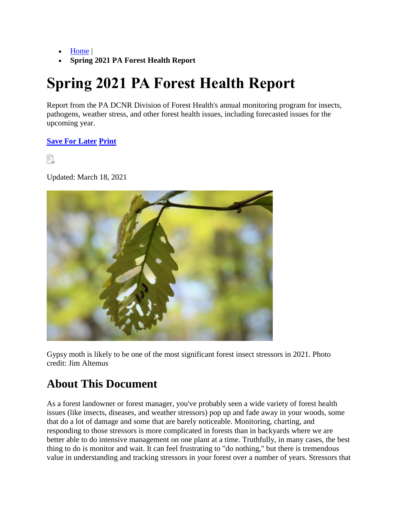- [Home](https://extension.psu.edu/) |
- **Spring 2021 PA Forest Health Report**

# **Spring 2021 PA Forest Health Report**

Report from the PA DCNR Division of Forest Health's annual monitoring program for insects, pathogens, weather stress, and other forest health issues, including forecasted issues for the upcoming year.

#### **[Save For Later](https://extension.psu.edu/wishlist/index/add/product/33000/form_key/ZM3txvTF69YX8nz8/) [Print](javascript:void(0))**

Fl

Updated: March 18, 2021



Gypsy moth is likely to be one of the most significant forest insect stressors in 2021. Photo credit: Jim Altemus

## **About This Document**

As a forest landowner or forest manager, you've probably seen a wide variety of forest health issues (like insects, diseases, and weather stressors) pop up and fade away in your woods, some that do a lot of damage and some that are barely noticeable. Monitoring, charting, and responding to those stressors is more complicated in forests than in backyards where we are better able to do intensive management on one plant at a time. Truthfully, in many cases, the best thing to do is monitor and wait. It can feel frustrating to "do nothing," but there is tremendous value in understanding and tracking stressors in your forest over a number of years. Stressors that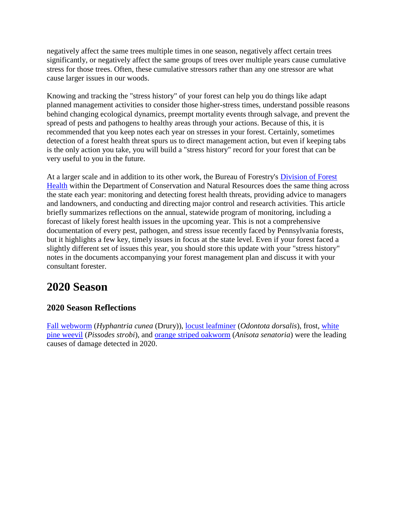negatively affect the same trees multiple times in one season, negatively affect certain trees significantly, or negatively affect the same groups of trees over multiple years cause cumulative stress for those trees. Often, these cumulative stressors rather than any one stressor are what cause larger issues in our woods.

Knowing and tracking the "stress history" of your forest can help you do things like adapt planned management activities to consider those higher-stress times, understand possible reasons behind changing ecological dynamics, preempt mortality events through salvage, and prevent the spread of pests and pathogens to healthy areas through your actions. Because of this, it is recommended that you keep notes each year on stresses in your forest. Certainly, sometimes detection of a forest health threat spurs us to direct management action, but even if keeping tabs is the only action you take, you will build a "stress history" record for your forest that can be very useful to you in the future.

At a larger scale and in addition to its other work, the Bureau of Forestry's [Division of Forest](https://www.dcnr.pa.gov/Conservation/ForestsAndTrees/InsectsAndDiseases/Pages/default.aspx)  [Health](https://www.dcnr.pa.gov/Conservation/ForestsAndTrees/InsectsAndDiseases/Pages/default.aspx) within the Department of Conservation and Natural Resources does the same thing across the state each year: monitoring and detecting forest health threats, providing advice to managers and landowners, and conducting and directing major control and research activities. This article briefly summarizes reflections on the annual, statewide program of monitoring, including a forecast of likely forest health issues in the upcoming year. This is not a comprehensive documentation of every pest, pathogen, and stress issue recently faced by Pennsylvania forests, but it highlights a few key, timely issues in focus at the state level. Even if your forest faced a slightly different set of issues this year, you should store this update with your "stress history" notes in the documents accompanying your forest management plan and discuss it with your consultant forester.

## **2020 Season**

### **2020 Season Reflections**

[Fall webworm](https://extension.psu.edu/fall-webworm) (*Hyphantria cunea* (Drury)), [locust leafminer](https://www.fs.usda.gov/naspf/sites/default/files/publications/llminer.pdf) (*Odontota dorsalis*), frost, [white](https://extension.psu.edu/white-pine-weevil)  [pine weevil](https://extension.psu.edu/white-pine-weevil) (*Pissodes strobi*), and [orange striped oakworm](https://content.ces.ncsu.edu/orangestriped-oakworm) (*Anisota senatoria*) were the leading causes of damage detected in 2020.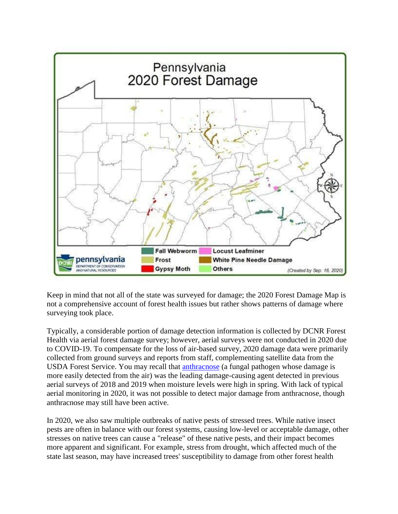

Keep in mind that not all of the state was surveyed for damage; the 2020 Forest Damage Map is not a comprehensive account of forest health issues but rather shows patterns of damage where surveying took place.

Typically, a considerable portion of damage detection information is collected by DCNR Forest Health via aerial forest damage survey; however, aerial surveys were not conducted in 2020 due to COVID-19. To compensate for the loss of air-based survey, 2020 damage data were primarily collected from ground surveys and reports from staff, complementing satellite data from the USDA Forest Service. You may recall that [anthracnose](https://ecosystems.psu.edu/research/centers/private-forests/news/numerous-reports-this-season-of-oak-anthracnose-in-central-pennsylvania) (a fungal pathogen whose damage is more easily detected from the air) was the leading damage-causing agent detected in previous aerial surveys of 2018 and 2019 when moisture levels were high in spring. With lack of typical aerial monitoring in 2020, it was not possible to detect major damage from anthracnose, though anthracnose may still have been active.

In 2020, we also saw multiple outbreaks of native pests of stressed trees. While native insect pests are often in balance with our forest systems, causing low-level or acceptable damage, other stresses on native trees can cause a "release" of these native pests, and their impact becomes more apparent and significant. For example, stress from drought, which affected much of the state last season, may have increased trees' susceptibility to damage from other forest health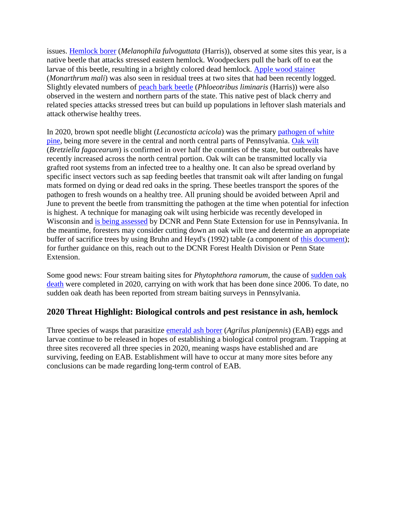issues. [Hemlock borer](https://www.fs.usda.gov/naspf/sites/default/files/publications/hborer.pdf) (*Melanophila fulvoguttata* (Harris)), observed at some sites this year, is a native beetle that attacks stressed eastern hemlock. Woodpeckers pull the bark off to eat the larvae of this beetle, resulting in a brightly colored dead hemlock. [Apple wood stainer](https://www.barkbeetles.info/regional_chklist_target_species.php?lookUp=3232) (*Monarthrum mali*) was also seen in residual trees at two sites that had been recently logged. Slightly elevated numbers of [peach bark beetle](https://extension.psu.edu/peach-bark-beetle-and-cherry-gummosis) (*Phloeotribus liminaris* (Harris)) were also observed in the western and northern parts of the state. This native pest of black cherry and related species attacks stressed trees but can build up populations in leftover slash materials and attack otherwise healthy trees.

In 2020, brown spot needle blight (*Lecanosticta acicola*) was the primary [pathogen of white](https://digitalmaine.com/cgi/viewcontent.cgi?article=1098&context=for_docs)  [pine,](https://digitalmaine.com/cgi/viewcontent.cgi?article=1098&context=for_docs) being more severe in the central and north central parts of Pennsylvania. [Oak wilt](https://www.fs.usda.gov/naspf/sites/default/files/publications/identify_prevent_and_control_oak_wilt_print.pdf) (*Bretziella fagacearum*) is confirmed in over half the counties of the state, but outbreaks have recently increased across the north central portion. Oak wilt can be transmitted locally via grafted root systems from an infected tree to a healthy one. It can also be spread overland by specific insect vectors such as sap feeding beetles that transmit oak wilt after landing on fungal mats formed on dying or dead red oaks in the spring. These beetles transport the spores of the pathogen to fresh wounds on a healthy tree. All pruning should be avoided between April and June to prevent the beetle from transmitting the pathogen at the time when potential for infection is highest. A technique for managing oak wilt using herbicide was recently developed in Wisconsin and [is being assessed](https://news.psu.edu/story/632529/2020/09/21/impact/penn-state-extension-testing-new-protocol-controlling-oak-wilt) by DCNR and Penn State Extension for use in Pennsylvania. In the meantime, foresters may consider cutting down an oak wilt tree and determine an appropriate buffer of sacrifice trees by using Bruhn and Heyd's (1992) table (a component of [this document\)](https://cdn.shopify.com/s/files/1/0145/8808/4272/files/G3590.pdf); for further guidance on this, reach out to the DCNR Forest Health Division or Penn State Extension.

Some good news: Four stream baiting sites for *Phytophthora ramorum*, the cause of [sudden oak](https://www.aphis.usda.gov/aphis/resources/pests-diseases/hungry-pests/the-threat/sudden-oak-death/hp-sudden-oak-death)  [death](https://www.aphis.usda.gov/aphis/resources/pests-diseases/hungry-pests/the-threat/sudden-oak-death/hp-sudden-oak-death) were completed in 2020, carrying on with work that has been done since 2006. To date, no sudden oak death has been reported from stream baiting surveys in Pennsylvania.

### **2020 Threat Highlight: Biological controls and pest resistance in ash, hemlock**

Three species of wasps that parasitize [emerald ash borer](https://extension.psu.edu/emerald-ash-borer-frequently-asked-questions) (*Agrilus planipennis*) (EAB) eggs and larvae continue to be released in hopes of establishing a biological control program. Trapping at three sites recovered all three species in 2020, meaning wasps have established and are surviving, feeding on EAB. Establishment will have to occur at many more sites before any conclusions can be made regarding long-term control of EAB.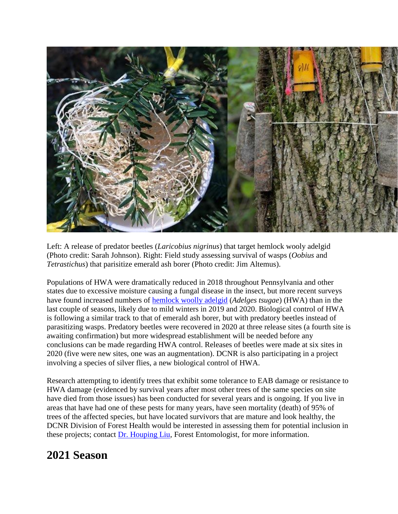

Left: A release of predator beetles (*Laricobius nigrinus*) that target hemlock wooly adelgid (Photo credit: Sarah Johnson). Right: Field study assessing survival of wasps (*Oobius* and *Tetrastichus*) that parisitize emerald ash borer (Photo credit: Jim Altemus).

Populations of HWA were dramatically reduced in 2018 throughout Pennsylvania and other states due to excessive moisture causing a fungal disease in the insect, but more recent surveys have found increased numbers of [hemlock woolly adelgid](https://www.dcnr.pa.gov/Conservation/ForestsAndTrees/InsectsAndDiseases/HemlockWoollyAdelgid/Pages/default.aspx) (*Adelges tsugae*) (HWA) than in the last couple of seasons, likely due to mild winters in 2019 and 2020. Biological control of HWA is following a similar track to that of emerald ash borer, but with predatory beetles instead of parasitizing wasps. Predatory beetles were recovered in 2020 at three release sites (a fourth site is awaiting confirmation) but more widespread establishment will be needed before any conclusions can be made regarding HWA control. Releases of beetles were made at six sites in 2020 (five were new sites, one was an augmentation). DCNR is also participating in a project involving a species of silver flies, a new biological control of HWA.

Research attempting to identify trees that exhibit some tolerance to EAB damage or resistance to HWA damage (evidenced by survival years after most other trees of the same species on site have died from those issues) has been conducted for several years and is ongoing. If you live in areas that have had one of these pests for many years, have seen mortality (death) of 95% of trees of the affected species, but have located survivors that are mature and look healthy, the DCNR Division of Forest Health would be interested in assessing them for potential inclusion in these projects; contact [Dr. Houping Liu,](mailto:hliu@pa.gov) Forest Entomologist, for more information.

# **2021 Season**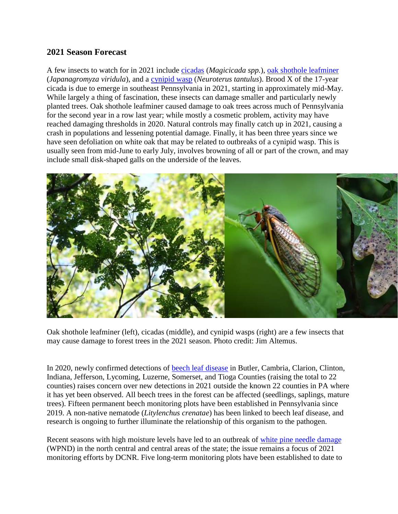### **2021 Season Forecast**

A few insects to watch for in 2021 include [cicadas](https://extension.psu.edu/periodical-cicada) (*Magicicada spp.*), [oak shothole leafminer](https://content.ces.ncsu.edu/oak-shothole-leafminer) (*Japanagromyza viridula*), and a [cynipid wasp](https://extension.psu.edu/cynipid-wasp-galls-making-a-mess-of-white-oaks) (*Neuroterus tantulus*). Brood X of the 17-year cicada is due to emerge in southeast Pennsylvania in 2021, starting in approximately mid-May. While largely a thing of fascination, these insects can damage smaller and particularly newly planted trees. Oak shothole leafminer caused damage to oak trees across much of Pennsylvania for the second year in a row last year; while mostly a cosmetic problem, activity may have reached damaging thresholds in 2020. Natural controls may finally catch up in 2021, causing a crash in populations and lessening potential damage. Finally, it has been three years since we have seen defoliation on white oak that may be related to outbreaks of a cynipid wasp. This is usually seen from mid-June to early July, involves browning of all or part of the crown, and may include small disk-shaped galls on the underside of the leaves.



Oak shothole leafminer (left), cicadas (middle), and cynipid wasps (right) are a few insects that may cause damage to forest trees in the 2021 season. Photo credit: Jim Altemus.

In 2020, newly confirmed detections of [beech leaf disease](https://ecosystems.psu.edu/research/centers/private-forests/news/suit-up-citizen-science-hero-and-help-scout-for-beech-leaf-disease-in-pennsylvanias-forests) in Butler, Cambria, Clarion, Clinton, Indiana, Jefferson, Lycoming, Luzerne, Somerset, and Tioga Counties (raising the total to 22 counties) raises concern over new detections in 2021 outside the known 22 counties in PA where it has yet been observed. All beech trees in the forest can be affected (seedlings, saplings, mature trees). Fifteen permanent beech monitoring plots have been established in Pennsylvania since 2019. A non-native nematode (*Litylenchus crenatae*) has been linked to beech leaf disease, and research is ongoing to further illuminate the relationship of this organism to the pathogen.

Recent seasons with high moisture levels have led to an outbreak of [white pine needle damage](https://www.fs.usda.gov/naspf/sites/default/files/eastern_white_pine.pdf) (WPND) in the north central and central areas of the state; the issue remains a focus of 2021 monitoring efforts by DCNR. Five long-term monitoring plots have been established to date to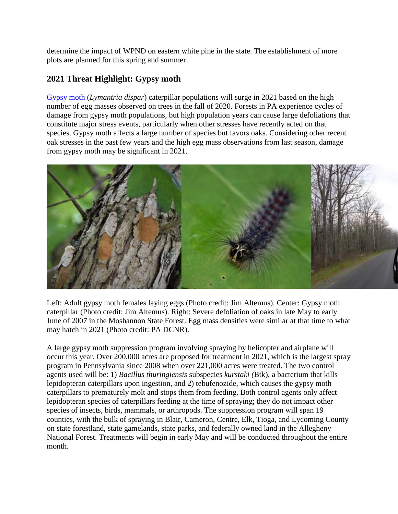determine the impact of WPND on eastern white pine in the state. The establishment of more plots are planned for this spring and summer.

### **2021 Threat Highlight: Gypsy moth**

[Gypsy moth](https://www.dcnr.pa.gov/Conservation/ForestsAndTrees/InsectsAndDiseases/GypsyMoth/Pages/default.aspx) (*Lymantria dispar*) caterpillar populations will surge in 2021 based on the high number of egg masses observed on trees in the fall of 2020. Forests in PA experience cycles of damage from gypsy moth populations, but high population years can cause large defoliations that constitute major stress events, particularly when other stresses have recently acted on that species. Gypsy moth affects a large number of species but favors oaks. Considering other recent oak stresses in the past few years and the high egg mass observations from last season, damage from gypsy moth may be significant in 2021.



Left: Adult gypsy moth females laying eggs (Photo credit: Jim Altemus). Center: Gypsy moth caterpillar (Photo credit: Jim Altemus). Right: Severe defoliation of oaks in late May to early June of 2007 in the Moshannon State Forest. Egg mass densities were similar at that time to what may hatch in 2021 (Photo credit: PA DCNR).

A large gypsy moth suppression program involving spraying by helicopter and airplane will occur this year. Over 200,000 acres are proposed for treatment in 2021, which is the largest spray program in Pennsylvania since 2008 when over 221,000 acres were treated. The two control agents used will be: 1) *Bacillus thuringiensis* subspecies *kurstaki (*Btk), a bacterium that kills lepidopteran caterpillars upon ingestion, and 2) tebufenozide, which causes the gypsy moth caterpillars to prematurely molt and stops them from feeding. Both control agents only affect lepidopteran species of caterpillars feeding at the time of spraying; they do not impact other species of insects, birds, mammals, or arthropods. The suppression program will span 19 counties, with the bulk of spraying in Blair, Cameron, Centre, Elk, Tioga, and Lycoming County on state forestland, state gamelands, state parks, and federally owned land in the Allegheny National Forest. Treatments will begin in early May and will be conducted throughout the entire month.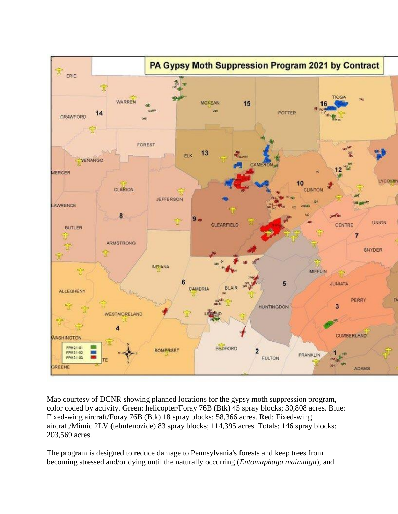

Map courtesy of DCNR showing planned locations for the gypsy moth suppression program, color coded by activity. Green: helicopter/Foray 76B (Btk) 45 spray blocks; 30,808 acres. Blue: Fixed-wing aircraft/Foray 76B (Btk) 18 spray blocks; 58,366 acres. Red: Fixed-wing aircraft/Mimic 2LV (tebufenozide) 83 spray blocks; 114,395 acres. Totals: 146 spray blocks; 203,569 acres.

The program is designed to reduce damage to Pennsylvania's forests and keep trees from becoming stressed and/or dying until the naturally occurring (*Entomaphaga maimaiga*), and